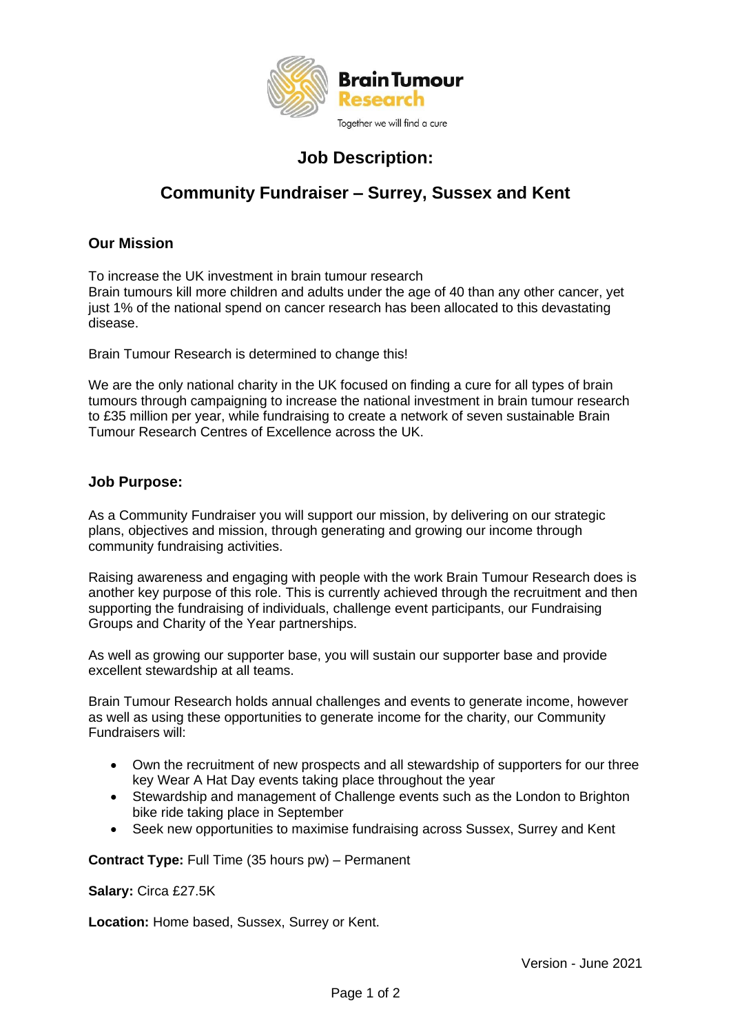

# **Job Description:**

# **Community Fundraiser – Surrey, Sussex and Kent**

## **Our Mission**

To increase the UK investment in brain tumour research Brain tumours kill more children and adults under the age of 40 than any other cancer, yet just 1% of the national spend on cancer research has been allocated to this devastating disease.

Brain Tumour Research is determined to change this!

We are the only national charity in the UK focused on finding a cure for all types of brain tumours through campaigning to increase the national investment in brain tumour research to £35 million per year, while fundraising to create a network of seven sustainable Brain Tumour Research Centres of Excellence across the UK.

## **Job Purpose:**

As a Community Fundraiser you will support our mission, by delivering on our strategic plans, objectives and mission, through generating and growing our income through community fundraising activities.

Raising awareness and engaging with people with the work Brain Tumour Research does is another key purpose of this role. This is currently achieved through the recruitment and then supporting the fundraising of individuals, challenge event participants, our Fundraising Groups and Charity of the Year partnerships.

As well as growing our supporter base, you will sustain our supporter base and provide excellent stewardship at all teams.

Brain Tumour Research holds annual challenges and events to generate income, however as well as using these opportunities to generate income for the charity, our Community Fundraisers will:

- Own the recruitment of new prospects and all stewardship of supporters for our three key Wear A Hat Day events taking place throughout the year
- Stewardship and management of Challenge events such as the London to Brighton bike ride taking place in September
- Seek new opportunities to maximise fundraising across Sussex, Surrey and Kent

**Contract Type:** Full Time (35 hours pw) – Permanent

**Salary:** Circa £27.5K

**Location:** Home based, Sussex, Surrey or Kent.